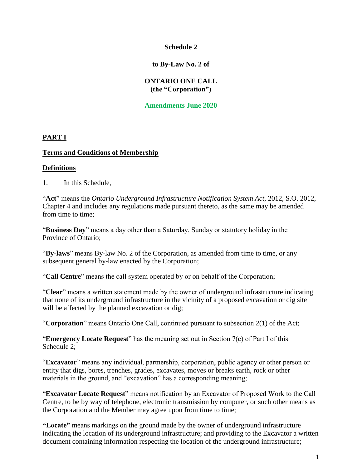**Schedule 2**

**to By-Law No. 2 of**

### **ONTARIO ONE CALL (the "Corporation")**

# **Amendments June 2020**

# **PART I**

### **Terms and Conditions of Membership**

#### **Definitions**

1. In this Schedule,

"**Act**" means the *Ontario Underground Infrastructure Notification System Act*, 2012, S.O. 2012, Chapter 4 and includes any regulations made pursuant thereto, as the same may be amended from time to time;

"**Business Day**" means a day other than a Saturday, Sunday or statutory holiday in the Province of Ontario;

"**By-laws**" means By-law No. 2 of the Corporation, as amended from time to time, or any subsequent general by-law enacted by the Corporation;

"**Call Centre**" means the call system operated by or on behalf of the Corporation;

"**Clear**" means a written statement made by the owner of underground infrastructure indicating that none of its underground infrastructure in the vicinity of a proposed excavation or dig site will be affected by the planned excavation or dig;

"**Corporation**" means Ontario One Call, continued pursuant to subsection 2(1) of the Act;

"**Emergency Locate Request**" has the meaning set out in Section 7(c) of Part I of this Schedule 2;

"**Excavator**" means any individual, partnership, corporation, public agency or other person or entity that digs, bores, trenches, grades, excavates, moves or breaks earth, rock or other materials in the ground, and "excavation" has a corresponding meaning;

"**Excavator Locate Request**" means notification by an Excavator of Proposed Work to the Call Centre, to be by way of telephone, electronic transmission by computer, or such other means as the Corporation and the Member may agree upon from time to time;

**"Locate"** means markings on the ground made by the owner of underground infrastructure indicating the location of its underground infrastructure; and providing to the Excavator a written document containing information respecting the location of the underground infrastructure;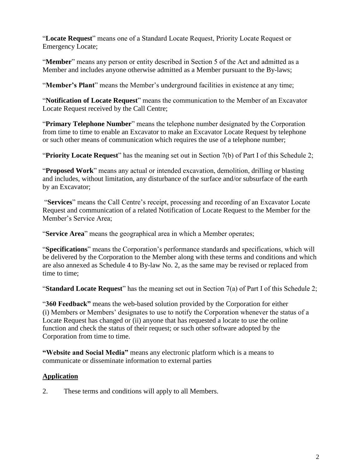"**Locate Request**" means one of a Standard Locate Request, Priority Locate Request or Emergency Locate;

"**Member**" means any person or entity described in Section 5 of the Act and admitted as a Member and includes anyone otherwise admitted as a Member pursuant to the By-laws;

"**Member's Plant**" means the Member's underground facilities in existence at any time;

"**Notification of Locate Request**" means the communication to the Member of an Excavator Locate Request received by the Call Centre;

"**Primary Telephone Number**" means the telephone number designated by the Corporation from time to time to enable an Excavator to make an Excavator Locate Request by telephone or such other means of communication which requires the use of a telephone number;

"**Priority Locate Request**" has the meaning set out in Section 7(b) of Part I of this Schedule 2;

"**Proposed Work**" means any actual or intended excavation, demolition, drilling or blasting and includes, without limitation, any disturbance of the surface and/or subsurface of the earth by an Excavator;

"**Services**" means the Call Centre's receipt, processing and recording of an Excavator Locate Request and communication of a related Notification of Locate Request to the Member for the Member's Service Area;

"**Service Area**" means the geographical area in which a Member operates;

"**Specifications**" means the Corporation's performance standards and specifications, which will be delivered by the Corporation to the Member along with these terms and conditions and which are also annexed as Schedule 4 to By-law No. 2, as the same may be revised or replaced from time to time;

"**Standard Locate Request**" has the meaning set out in Section 7(a) of Part I of this Schedule 2;

"**360 Feedback"** means the web-based solution provided by the Corporation for either (i) Members or Members' designates to use to notify the Corporation whenever the status of a Locate Request has changed or (ii) anyone that has requested a locate to use the online function and check the status of their request; or such other software adopted by the Corporation from time to time.

**"Website and Social Media"** means any electronic platform which is a means to communicate or disseminate information to external parties

### **Application**

2. These terms and conditions will apply to all Members.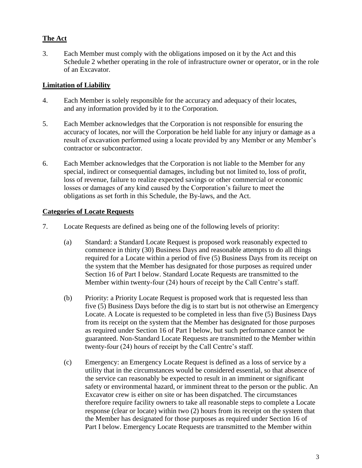# **The Act**

3. Each Member must comply with the obligations imposed on it by the Act and this Schedule 2 whether operating in the role of infrastructure owner or operator, or in the role of an Excavator.

# **Limitation of Liability**

- 4. Each Member is solely responsible for the accuracy and adequacy of their locates, and any information provided by it to the Corporation.
- 5. Each Member acknowledges that the Corporation is not responsible for ensuring the accuracy of locates, nor will the Corporation be held liable for any injury or damage as a result of excavation performed using a locate provided by any Member or any Member's contractor or subcontractor.
- 6. Each Member acknowledges that the Corporation is not liable to the Member for any special, indirect or consequential damages, including but not limited to, loss of profit, loss of revenue, failure to realize expected savings or other commercial or economic losses or damages of any kind caused by the Corporation's failure to meet the obligations as set forth in this Schedule, the By-laws, and the Act.

# **Categories of Locate Requests**

- 7. Locate Requests are defined as being one of the following levels of priority:
	- (a) Standard: a Standard Locate Request is proposed work reasonably expected to commence in thirty (30) Business Days and reasonable attempts to do all things required for a Locate within a period of five (5) Business Days from its receipt on the system that the Member has designated for those purposes as required under Section 16 of Part I below. Standard Locate Requests are transmitted to the Member within twenty-four (24) hours of receipt by the Call Centre's staff.
	- (b) Priority: a Priority Locate Request is proposed work that is requested less than five (5) Business Days before the dig is to start but is not otherwise an Emergency Locate. A Locate is requested to be completed in less than five (5) Business Days from its receipt on the system that the Member has designated for those purposes as required under Section 16 of Part I below, but such performance cannot be guaranteed. Non-Standard Locate Requests are transmitted to the Member within twenty-four (24) hours of receipt by the Call Centre's staff.
	- (c) Emergency: an Emergency Locate Request is defined as a loss of service by a utility that in the circumstances would be considered essential, so that absence of the service can reasonably be expected to result in an imminent or significant safety or environmental hazard, or imminent threat to the person or the public. An Excavator crew is either on site or has been dispatched. The circumstances therefore require facility owners to take all reasonable steps to complete a Locate response (clear or locate) within two (2) hours from its receipt on the system that the Member has designated for those purposes as required under Section 16 of Part I below. Emergency Locate Requests are transmitted to the Member within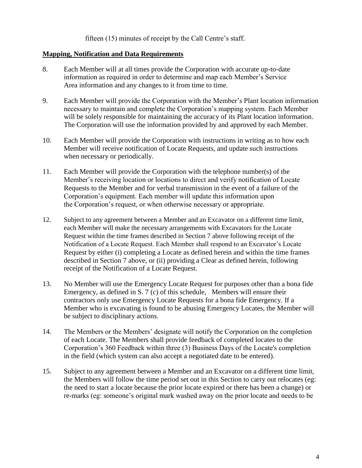fifteen (15) minutes of receipt by the Call Centre's staff.

#### **Mapping, Notification and Data Requirements**

- 8. Each Member will at all times provide the Corporation with accurate up-to-date information as required in order to determine and map each Member's Service Area information and any changes to it from time to time.
- 9. Each Member will provide the Corporation with the Member's Plant location information necessary to maintain and complete the Corporation's mapping system. Each Member will be solely responsible for maintaining the accuracy of its Plant location information. The Corporation will use the information provided by and approved by each Member.
- 10. Each Member will provide the Corporation with instructions in writing as to how each Member will receive notification of Locate Requests, and update such instructions when necessary or periodically.
- 11. Each Member will provide the Corporation with the telephone number(s) of the Member's receiving location or locations to direct and verify notification of Locate Requests to the Member and for verbal transmission in the event of a failure of the Corporation's equipment. Each member will update this information upon the Corporation's request, or when otherwise necessary or appropriate.
- 12. Subject to any agreement between a Member and an Excavator on a different time limit, each Member will make the necessary arrangements with Excavators for the Locate Request within the time frames described in Section 7 above following receipt of the Notification of a Locate Request. Each Member shall respond to an Excavator's Locate Request by either (i) completing a Locate as defined herein and within the time frames described in Section 7 above, or (ii) providing a Clear as defined herein, following receipt of the Notification of a Locate Request.
- 13. No Member will use the Emergency Locate Request for purposes other than a bona fide Emergency, as defined in S. 7 (c) of this schedule, . Members will ensure their contractors only use Emergency Locate Requests for a bona fide Emergency. If a Member who is excavating is found to be abusing Emergency Locates, the Member will be subject to disciplinary actions.
- 14. The Members or the Members' designate will notify the Corporation on the completion of each Locate. The Members shall provide feedback of completed locates to the Corporation's 360 Feedback within three (3) Business Days of the Locate's completion in the field (which system can also accept a negotiated date to be entered).
- 15. Subject to any agreement between a Member and an Excavator on a different time limit, the Members will follow the time period set out in this Section to carry out relocates (eg: the need to start a locate because the prior locate expired or there has been a change) or re-marks (eg: someone's original mark washed away on the prior locate and needs to be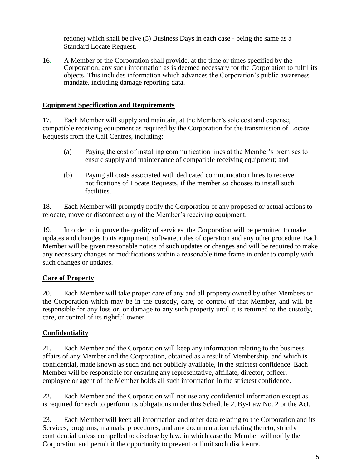redone) which shall be five (5) Business Days in each case - being the same as a Standard Locate Request.

16. A Member of the Corporation shall provide, at the time or times specified by the Corporation, any such information as is deemed necessary for the Corporation to fulfil its objects. This includes information which advances the Corporation's public awareness mandate, including damage reporting data.

### **Equipment Specification and Requirements**

17. Each Member will supply and maintain, at the Member's sole cost and expense, compatible receiving equipment as required by the Corporation for the transmission of Locate Requests from the Call Centres, including:

- (a) Paying the cost of installing communication lines at the Member's premises to ensure supply and maintenance of compatible receiving equipment; and
- (b) Paying all costs associated with dedicated communication lines to receive notifications of Locate Requests, if the member so chooses to install such facilities.

18. Each Member will promptly notify the Corporation of any proposed or actual actions to relocate, move or disconnect any of the Member's receiving equipment.

19. In order to improve the quality of services, the Corporation will be permitted to make updates and changes to its equipment, software, rules of operation and any other procedure. Each Member will be given reasonable notice of such updates or changes and will be required to make any necessary changes or modifications within a reasonable time frame in order to comply with such changes or updates.

### **Care of Property**

20. Each Member will take proper care of any and all property owned by other Members or the Corporation which may be in the custody, care, or control of that Member, and will be responsible for any loss or, or damage to any such property until it is returned to the custody, care, or control of its rightful owner.

# **Confidentiality**

21. Each Member and the Corporation will keep any information relating to the business affairs of any Member and the Corporation, obtained as a result of Membership, and which is confidential, made known as such and not publicly available, in the strictest confidence. Each Member will be responsible for ensuring any representative, affiliate, director, officer, employee or agent of the Member holds all such information in the strictest confidence.

22. Each Member and the Corporation will not use any confidential information except as is required for each to perform its obligations under this Schedule 2, By-Law No. 2 or the Act.

23. Each Member will keep all information and other data relating to the Corporation and its Services, programs, manuals, procedures, and any documentation relating thereto, strictly confidential unless compelled to disclose by law, in which case the Member will notify the Corporation and permit it the opportunity to prevent or limit such disclosure.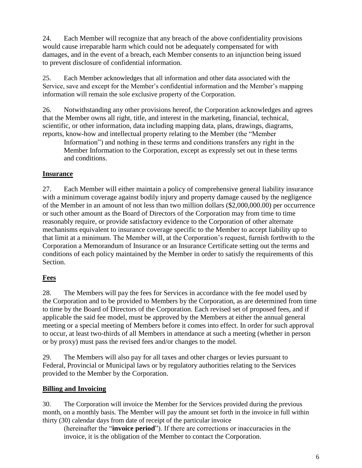24. Each Member will recognize that any breach of the above confidentiality provisions would cause irreparable harm which could not be adequately compensated for with damages, and in the event of a breach, each Member consents to an injunction being issued to prevent disclosure of confidential information.

25. Each Member acknowledges that all information and other data associated with the Service, save and except for the Member's confidential information and the Member's mapping information will remain the sole exclusive property of the Corporation.

26. Notwithstanding any other provisions hereof, the Corporation acknowledges and agrees that the Member owns all right, title, and interest in the marketing, financial, technical, scientific, or other information, data including mapping data, plans, drawings, diagrams, reports, know-how and intellectual property relating to the Member (the "Member

Information") and nothing in these terms and conditions transfers any right in the Member Information to the Corporation, except as expressly set out in these terms and conditions.

# **Insurance**

27. Each Member will either maintain a policy of comprehensive general liability insurance with a minimum coverage against bodily injury and property damage caused by the negligence of the Member in an amount of not less than two million dollars (\$2,000,000.00) per occurrence or such other amount as the Board of Directors of the Corporation may from time to time reasonably require, or provide satisfactory evidence to the Corporation of other alternate mechanisms equivalent to insurance coverage specific to the Member to accept liability up to that limit at a minimum. The Member will, at the Corporation's request, furnish forthwith to the Corporation a Memorandum of Insurance or an Insurance Certificate setting out the terms and conditions of each policy maintained by the Member in order to satisfy the requirements of this Section.

# **Fees**

28. The Members will pay the fees for Services in accordance with the fee model used by the Corporation and to be provided to Members by the Corporation, as are determined from time to time by the Board of Directors of the Corporation. Each revised set of proposed fees, and if applicable the said fee model, must be approved by the Members at either the annual general meeting or a special meeting of Members before it comes into effect. In order for such approval to occur, at least two-thirds of all Members in attendance at such a meeting (whether in person or by proxy) must pass the revised fees and/or changes to the model.

29. The Members will also pay for all taxes and other charges or levies pursuant to Federal, Provincial or Municipal laws or by regulatory authorities relating to the Services provided to the Member by the Corporation.

### **Billing and Invoicing**

30. The Corporation will invoice the Member for the Services provided during the previous month, on a monthly basis. The Member will pay the amount set forth in the invoice in full within thirty (30) calendar days from date of receipt of the particular invoice

(hereinafter the "**invoice period**"). If there are corrections or inaccuracies in the invoice, it is the obligation of the Member to contact the Corporation.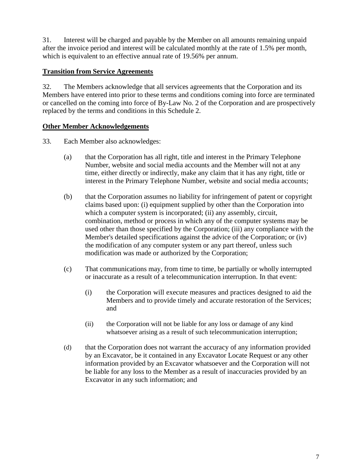31. Interest will be charged and payable by the Member on all amounts remaining unpaid after the invoice period and interest will be calculated monthly at the rate of 1.5% per month, which is equivalent to an effective annual rate of 19.56% per annum.

# **Transition from Service Agreements**

32. The Members acknowledge that all services agreements that the Corporation and its Members have entered into prior to these terms and conditions coming into force are terminated or cancelled on the coming into force of By-Law No. 2 of the Corporation and are prospectively replaced by the terms and conditions in this Schedule 2.

# **Other Member Acknowledgements**

33. Each Member also acknowledges:

- (a) that the Corporation has all right, title and interest in the Primary Telephone Number, website and social media accounts and the Member will not at any time, either directly or indirectly, make any claim that it has any right, title or interest in the Primary Telephone Number, website and social media accounts;
- (b) that the Corporation assumes no liability for infringement of patent or copyright claims based upon: (i) equipment supplied by other than the Corporation into which a computer system is incorporated; (ii) any assembly, circuit, combination, method or process in which any of the computer systems may be used other than those specified by the Corporation; (iii) any compliance with the Member's detailed specifications against the advice of the Corporation; or (iv) the modification of any computer system or any part thereof, unless such modification was made or authorized by the Corporation;
- (c) That communications may, from time to time, be partially or wholly interrupted or inaccurate as a result of a telecommunication interruption. In that event:
	- (i) the Corporation will execute measures and practices designed to aid the Members and to provide timely and accurate restoration of the Services; and
	- (ii) the Corporation will not be liable for any loss or damage of any kind whatsoever arising as a result of such telecommunication interruption;
- (d) that the Corporation does not warrant the accuracy of any information provided by an Excavator, be it contained in any Excavator Locate Request or any other information provided by an Excavator whatsoever and the Corporation will not be liable for any loss to the Member as a result of inaccuracies provided by an Excavator in any such information; and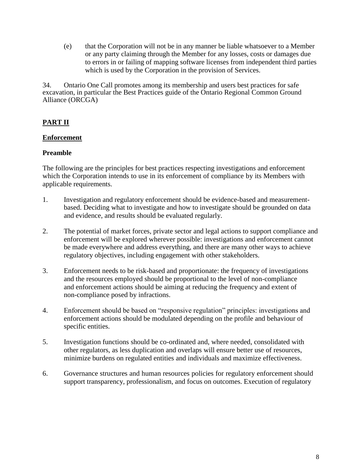(e) that the Corporation will not be in any manner be liable whatsoever to a Member or any party claiming through the Member for any losses, costs or damages due to errors in or failing of mapping software licenses from independent third parties which is used by the Corporation in the provision of Services.

34. Ontario One Call promotes among its membership and users best practices for safe excavation, in particular the Best Practices guide of the Ontario Regional Common Ground Alliance (ORCGA)

# **PART II**

### **Enforcement**

# **Preamble**

The following are the principles for best practices respecting investigations and enforcement which the Corporation intends to use in its enforcement of compliance by its Members with applicable requirements.

- 1. Investigation and regulatory enforcement should be evidence-based and measurementbased. Deciding what to investigate and how to investigate should be grounded on data and evidence, and results should be evaluated regularly.
- 2. The potential of market forces, private sector and legal actions to support compliance and enforcement will be explored wherever possible: investigations and enforcement cannot be made everywhere and address everything, and there are many other ways to achieve regulatory objectives, including engagement with other stakeholders.
- 3. Enforcement needs to be risk-based and proportionate: the frequency of investigations and the resources employed should be proportional to the level of non-compliance and enforcement actions should be aiming at reducing the frequency and extent of non-compliance posed by infractions.
- 4. Enforcement should be based on "responsive regulation" principles: investigations and enforcement actions should be modulated depending on the profile and behaviour of specific entities.
- 5. Investigation functions should be co-ordinated and, where needed, consolidated with other regulators, as less duplication and overlaps will ensure better use of resources, minimize burdens on regulated entities and individuals and maximize effectiveness.
- 6. Governance structures and human resources policies for regulatory enforcement should support transparency, professionalism, and focus on outcomes. Execution of regulatory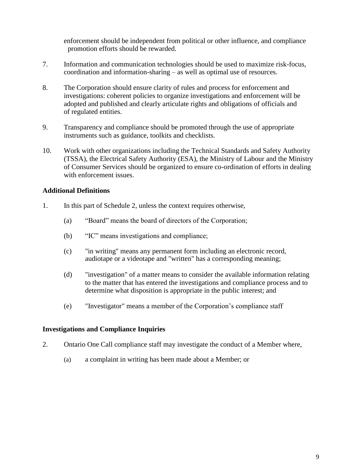enforcement should be independent from political or other influence, and compliance promotion efforts should be rewarded.

- 7. Information and communication technologies should be used to maximize risk-focus, coordination and information-sharing – as well as optimal use of resources.
- 8. The Corporation should ensure clarity of rules and process for enforcement and investigations: coherent policies to organize investigations and enforcement will be adopted and published and clearly articulate rights and obligations of officials and of regulated entities.
- 9. Transparency and compliance should be promoted through the use of appropriate instruments such as guidance, toolkits and checklists.
- 10. Work with other organizations including the Technical Standards and Safety Authority (TSSA), the Electrical Safety Authority (ESA), the Ministry of Labour and the Ministry of Consumer Services should be organized to ensure co-ordination of efforts in dealing with enforcement issues.

### **Additional Definitions**

- 1. In this part of Schedule 2, unless the context requires otherwise,
	- (a) "Board" means the board of directors of the Corporation;
	- (b) "IC" means investigations and compliance;
	- (c) "in writing" means any permanent form including an electronic record, audiotape or a videotape and "written" has a corresponding meaning;
	- (d) "investigation" of a matter means to consider the available information relating to the matter that has entered the investigations and compliance process and to determine what disposition is appropriate in the public interest; and
	- (e) "Investigator" means a member of the Corporation's compliance staff

### **Investigations and Compliance Inquiries**

- 2. Ontario One Call compliance staff may investigate the conduct of a Member where,
	- (a) a complaint in writing has been made about a Member; or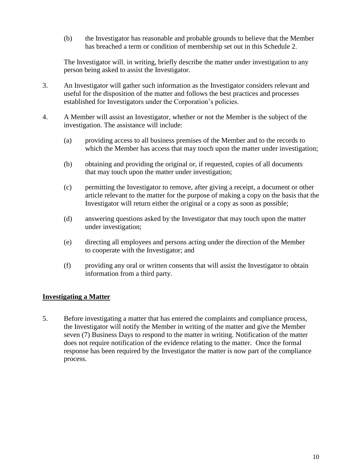(b) the Investigator has reasonable and probable grounds to believe that the Member has breached a term or condition of membership set out in this Schedule 2.

The Investigator will, in writing, briefly describe the matter under investigation to any person being asked to assist the Investigator.

- 3. An Investigator will gather such information as the Investigator considers relevant and useful for the disposition of the matter and follows the best practices and processes established for Investigators under the Corporation's policies.
- 4. A Member will assist an Investigator, whether or not the Member is the subject of the investigation. The assistance will include:
	- (a) providing access to all business premises of the Member and to the records to which the Member has access that may touch upon the matter under investigation;
	- (b) obtaining and providing the original or, if requested, copies of all documents that may touch upon the matter under investigation;
	- (c) permitting the Investigator to remove, after giving a receipt, a document or other article relevant to the matter for the purpose of making a copy on the basis that the Investigator will return either the original or a copy as soon as possible;
	- (d) answering questions asked by the Investigator that may touch upon the matter under investigation;
	- (e) directing all employees and persons acting under the direction of the Member to cooperate with the Investigator; and
	- (f) providing any oral or written consents that will assist the Investigator to obtain information from a third party.

# **Investigating a Matter**

5. Before investigating a matter that has entered the complaints and compliance process, the Investigator will notify the Member in writing of the matter and give the Member seven (7) Business Days to respond to the matter in writing. Notification of the matter does not require notification of the evidence relating to the matter. Once the formal response has been required by the Investigator the matter is now part of the compliance process.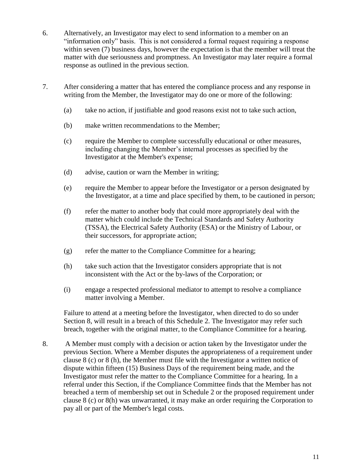- 6. Alternatively, an Investigator may elect to send information to a member on an "information only" basis. This is not considered a formal request requiring a response within seven (7) business days, however the expectation is that the member will treat the matter with due seriousness and promptness. An Investigator may later require a formal response as outlined in the previous section.
- 7. After considering a matter that has entered the compliance process and any response in writing from the Member, the Investigator may do one or more of the following:
	- (a) take no action, if justifiable and good reasons exist not to take such action,
	- (b) make written recommendations to the Member;
	- (c) require the Member to complete successfully educational or other measures, including changing the Member's internal processes as specified by the Investigator at the Member's expense;
	- (d) advise, caution or warn the Member in writing;
	- (e) require the Member to appear before the Investigator or a person designated by the Investigator, at a time and place specified by them, to be cautioned in person;
	- (f) refer the matter to another body that could more appropriately deal with the matter which could include the Technical Standards and Safety Authority (TSSA), the Electrical Safety Authority (ESA) or the Ministry of Labour, or their successors, for appropriate action;
	- (g) refer the matter to the Compliance Committee for a hearing;
	- (h) take such action that the Investigator considers appropriate that is not inconsistent with the Act or the by-laws of the Corporation; or
	- (i) engage a respected professional mediator to attempt to resolve a compliance matter involving a Member.

Failure to attend at a meeting before the Investigator, when directed to do so under Section 8, will result in a breach of this Schedule 2. The Investigator may refer such breach, together with the original matter, to the Compliance Committee for a hearing.

8. A Member must comply with a decision or action taken by the Investigator under the previous Section. Where a Member disputes the appropriateness of a requirement under clause 8 (c) or 8 (h), the Member must file with the Investigator a written notice of dispute within fifteen (15) Business Days of the requirement being made, and the Investigator must refer the matter to the Compliance Committee for a hearing. In a referral under this Section, if the Compliance Committee finds that the Member has not breached a term of membership set out in Schedule 2 or the proposed requirement under clause 8 (c) or 8(h) was unwarranted, it may make an order requiring the Corporation to pay all or part of the Member's legal costs.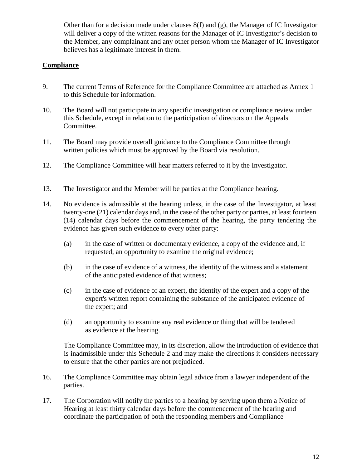Other than for a decision made under clauses 8(f) and (g), the Manager of IC Investigator will deliver a copy of the written reasons for the Manager of IC Investigator's decision to the Member, any complainant and any other person whom the Manager of IC Investigator believes has a legitimate interest in them.

### **Compliance**

- 9. The current Terms of Reference for the Compliance Committee are attached as Annex 1 to this Schedule for information.
- 10. The Board will not participate in any specific investigation or compliance review under this Schedule, except in relation to the participation of directors on the Appeals Committee.
- 11. The Board may provide overall guidance to the Compliance Committee through written policies which must be approved by the Board via resolution.
- 12. The Compliance Committee will hear matters referred to it by the Investigator.
- 13. The Investigator and the Member will be parties at the Compliance hearing.
- 14. No evidence is admissible at the hearing unless, in the case of the Investigator, at least twenty-one (21) calendar days and, in the case of the other party or parties, at least fourteen (14) calendar days before the commencement of the hearing, the party tendering the evidence has given such evidence to every other party:
	- (a) in the case of written or documentary evidence, a copy of the evidence and, if requested, an opportunity to examine the original evidence;
	- (b) in the case of evidence of a witness, the identity of the witness and a statement of the anticipated evidence of that witness;
	- (c) in the case of evidence of an expert, the identity of the expert and a copy of the expert's written report containing the substance of the anticipated evidence of the expert; and
	- (d) an opportunity to examine any real evidence or thing that will be tendered as evidence at the hearing.

The Compliance Committee may, in its discretion, allow the introduction of evidence that is inadmissible under this Schedule 2 and may make the directions it considers necessary to ensure that the other parties are not prejudiced.

- 16. The Compliance Committee may obtain legal advice from a lawyer independent of the parties.
- 17. The Corporation will notify the parties to a hearing by serving upon them a Notice of Hearing at least thirty calendar days before the commencement of the hearing and coordinate the participation of both the responding members and Compliance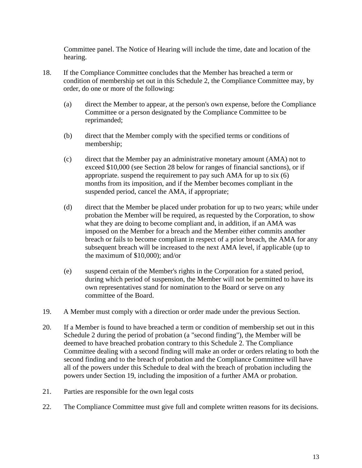Committee panel. The Notice of Hearing will include the time, date and location of the hearing.

- 18. If the Compliance Committee concludes that the Member has breached a term or condition of membership set out in this Schedule 2, the Compliance Committee may, by order, do one or more of the following:
	- (a) direct the Member to appear, at the person's own expense, before the Compliance Committee or a person designated by the Compliance Committee to be reprimanded;
	- (b) direct that the Member comply with the specified terms or conditions of membership;
	- (c) direct that the Member pay an administrative monetary amount (AMA) not to exceed \$10,000 (see Section 28 below for ranges of financial sanctions), or if appropriate. suspend the requirement to pay such AMA for up to six (6) months from its imposition, and if the Member becomes compliant in the suspended period, cancel the AMA, if appropriate;
	- (d) direct that the Member be placed under probation for up to two years; while under probation the Member will be required, as requested by the Corporation, to show what they are doing to become compliant and, in addition, if an AMA was imposed on the Member for a breach and the Member either commits another breach or fails to become compliant in respect of a prior breach, the AMA for any subsequent breach will be increased to the next AMA level, if applicable (up to the maximum of \$10,000); and/or
	- (e) suspend certain of the Member's rights in the Corporation for a stated period, during which period of suspension, the Member will not be permitted to have its own representatives stand for nomination to the Board or serve on any committee of the Board.
- 19. A Member must comply with a direction or order made under the previous Section.
- 20. If a Member is found to have breached a term or condition of membership set out in this Schedule 2 during the period of probation (a "second finding"), the Member will be deemed to have breached probation contrary to this Schedule 2. The Compliance Committee dealing with a second finding will make an order or orders relating to both the second finding and to the breach of probation and the Compliance Committee will have all of the powers under this Schedule to deal with the breach of probation including the powers under Section 19, including the imposition of a further AMA or probation.
- 21. Parties are responsible for the own legal costs
- 22. The Compliance Committee must give full and complete written reasons for its decisions.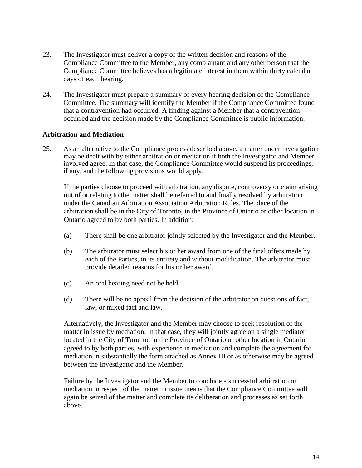- 23. The Investigator must deliver a copy of the written decision and reasons of the Compliance Committee to the Member, any complainant and any other person that the Compliance Committee believes has a legitimate interest in them within thirty calendar days of each hearing.
- 24. The Investigator must prepare a summary of every hearing decision of the Compliance Committee. The summary will identify the Member if the Compliance Committee found that a contravention had occurred. A finding against a Member that a contravention occurred and the decision made by the Compliance Committee is public information.

### **Arbitration and Mediation**

25. As an alternative to the Compliance process described above, a matter under investigation may be dealt with by either arbitration or mediation if both the Investigator and Member involved agree. In that case, the Compliance Committee would suspend its proceedings, if any, and the following provisions would apply.

If the parties choose to proceed with arbitration, any dispute, controversy or claim arising out of or relating to the matter shall be referred to and finally resolved by arbitration under the Canadian Arbitration Association Arbitration Rules. The place of the arbitration shall be in the City of Toronto, in the Province of Ontario or other location in Ontario agreed to by both parties. In addition:

- (a) There shall be one arbitrator jointly selected by the Investigator and the Member.
- (b) The arbitrator must select his or her award from one of the final offers made by each of the Parties, in its entirety and without modification. The arbitrator must provide detailed reasons for his or her award.
- (c) An oral hearing need not be held.
- (d) There will be no appeal from the decision of the arbitrator on questions of fact, law, or mixed fact and law.

Alternatively, the Investigator and the Member may choose to seek resolution of the matter in issue by mediation. In that case, they will jointly agree on a single mediator located in the City of Toronto, in the Province of Ontario or other location in Ontario agreed to by both parties, with experience in mediation and complete the agreement for mediation in substantially the form attached as Annex III or as otherwise may be agreed between the Investigator and the Member.

Failure by the Investigator and the Member to conclude a successful arbitration or mediation in respect of the matter in issue means that the Compliance Committee will again be seized of the matter and complete its deliberation and processes as set forth above.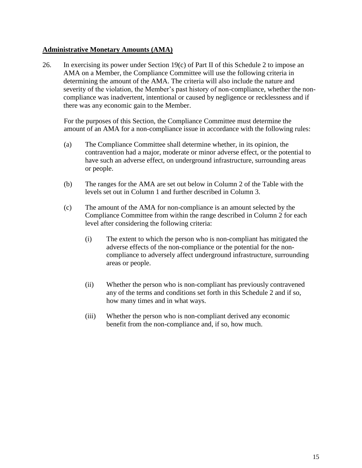#### **Administrative Monetary Amounts (AMA)**

26. In exercising its power under Section 19(c) of Part II of this Schedule 2 to impose an AMA on a Member, the Compliance Committee will use the following criteria in determining the amount of the AMA. The criteria will also include the nature and severity of the violation, the Member's past history of non-compliance, whether the noncompliance was inadvertent, intentional or caused by negligence or recklessness and if there was any economic gain to the Member.

For the purposes of this Section, the Compliance Committee must determine the amount of an AMA for a non-compliance issue in accordance with the following rules:

- (a) The Compliance Committee shall determine whether, in its opinion, the contravention had a major, moderate or minor adverse effect, or the potential to have such an adverse effect, on underground infrastructure, surrounding areas or people.
- (b) The ranges for the AMA are set out below in Column 2 of the Table with the levels set out in Column 1 and further described in Column 3.
- (c) The amount of the AMA for non-compliance is an amount selected by the Compliance Committee from within the range described in Column 2 for each level after considering the following criteria:
	- (i) The extent to which the person who is non-compliant has mitigated the adverse effects of the non-compliance or the potential for the noncompliance to adversely affect underground infrastructure, surrounding areas or people.
	- (ii) Whether the person who is non-compliant has previously contravened any of the terms and conditions set forth in this Schedule 2 and if so, how many times and in what ways.
	- (iii) Whether the person who is non-compliant derived any economic benefit from the non-compliance and, if so, how much.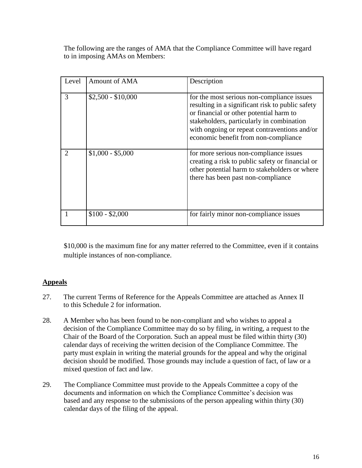The following are the ranges of AMA that the Compliance Committee will have regard to in imposing AMAs on Members:

| Level         | Amount of AMA      | Description                                                                                                                                                                                                                                                                    |
|---------------|--------------------|--------------------------------------------------------------------------------------------------------------------------------------------------------------------------------------------------------------------------------------------------------------------------------|
| $\mathcal{R}$ | $$2,500 - $10,000$ | for the most serious non-compliance issues<br>resulting in a significant risk to public safety<br>or financial or other potential harm to<br>stakeholders, particularly in combination<br>with ongoing or repeat contraventions and/or<br>economic benefit from non-compliance |
|               | $$1,000 - $5,000$  | for more serious non-compliance issues<br>creating a risk to public safety or financial or<br>other potential harm to stakeholders or where<br>there has been past non-compliance                                                                                              |
|               | $$100 - $2,000$    | for fairly minor non-compliance issues                                                                                                                                                                                                                                         |

\$10,000 is the maximum fine for any matter referred to the Committee, even if it contains multiple instances of non-compliance.

### **Appeals**

- 27. The current Terms of Reference for the Appeals Committee are attached as Annex II to this Schedule 2 for information.
- 28. A Member who has been found to be non-compliant and who wishes to appeal a decision of the Compliance Committee may do so by filing, in writing, a request to the Chair of the Board of the Corporation. Such an appeal must be filed within thirty (30) calendar days of receiving the written decision of the Compliance Committee. The party must explain in writing the material grounds for the appeal and why the original decision should be modified. Those grounds may include a question of fact, of law or a mixed question of fact and law.
- 29. The Compliance Committee must provide to the Appeals Committee a copy of the documents and information on which the Compliance Committee's decision was based and any response to the submissions of the person appealing within thirty (30) calendar days of the filing of the appeal.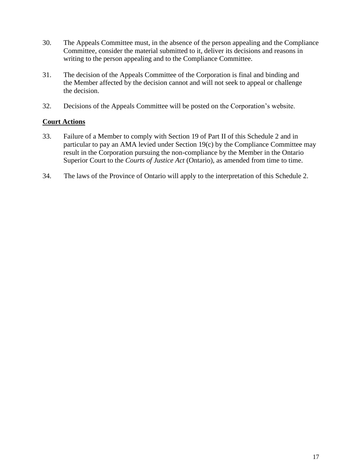- 30. The Appeals Committee must, in the absence of the person appealing and the Compliance Committee, consider the material submitted to it, deliver its decisions and reasons in writing to the person appealing and to the Compliance Committee.
- 31. The decision of the Appeals Committee of the Corporation is final and binding and the Member affected by the decision cannot and will not seek to appeal or challenge the decision.
- 32. Decisions of the Appeals Committee will be posted on the Corporation's website.

### **Court Actions**

- 33. Failure of a Member to comply with Section 19 of Part II of this Schedule 2 and in particular to pay an AMA levied under Section 19(c) by the Compliance Committee may result in the Corporation pursuing the non-compliance by the Member in the Ontario Superior Court to the *Courts of Justice Act* (Ontario), as amended from time to time.
- 34. The laws of the Province of Ontario will apply to the interpretation of this Schedule 2.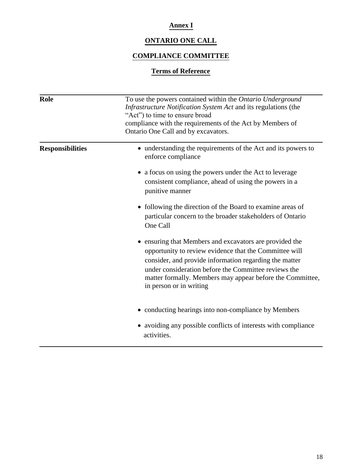# **Annex I**

# **ONTARIO ONE CALL**

# **COMPLIANCE COMMITTEE**

# **Terms of Reference**

| <b>Role</b>             | To use the powers contained within the Ontario Underground<br>Infrastructure Notification System Act and its regulations (the<br>"Act") to time to ensure broad<br>compliance with the requirements of the Act by Members of<br>Ontario One Call and by excavators.                                                       |
|-------------------------|---------------------------------------------------------------------------------------------------------------------------------------------------------------------------------------------------------------------------------------------------------------------------------------------------------------------------|
| <b>Responsibilities</b> | • understanding the requirements of the Act and its powers to<br>enforce compliance                                                                                                                                                                                                                                       |
|                         | • a focus on using the powers under the Act to leverage<br>consistent compliance, ahead of using the powers in a<br>punitive manner                                                                                                                                                                                       |
|                         | following the direction of the Board to examine areas of<br>particular concern to the broader stakeholders of Ontario<br>One Call                                                                                                                                                                                         |
|                         | ensuring that Members and excavators are provided the<br>opportunity to review evidence that the Committee will<br>consider, and provide information regarding the matter<br>under consideration before the Committee reviews the<br>matter formally. Members may appear before the Committee,<br>in person or in writing |
|                         | • conducting hearings into non-compliance by Members                                                                                                                                                                                                                                                                      |
|                         | avoiding any possible conflicts of interests with compliance<br>activities.                                                                                                                                                                                                                                               |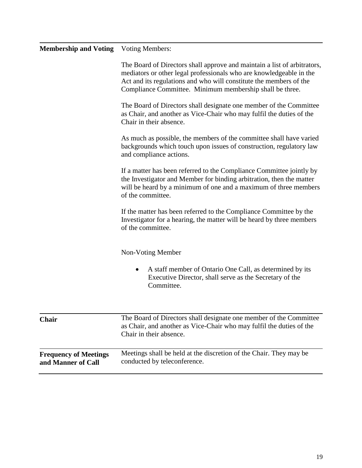# **Membership and Voting** Voting Members:

|                                                    | The Board of Directors shall approve and maintain a list of arbitrators,<br>mediators or other legal professionals who are knowledgeable in the<br>Act and its regulations and who will constitute the members of the<br>Compliance Committee. Minimum membership shall be three. |
|----------------------------------------------------|-----------------------------------------------------------------------------------------------------------------------------------------------------------------------------------------------------------------------------------------------------------------------------------|
|                                                    | The Board of Directors shall designate one member of the Committee<br>as Chair, and another as Vice-Chair who may fulfil the duties of the<br>Chair in their absence.                                                                                                             |
|                                                    | As much as possible, the members of the committee shall have varied<br>backgrounds which touch upon issues of construction, regulatory law<br>and compliance actions.                                                                                                             |
|                                                    | If a matter has been referred to the Compliance Committee jointly by<br>the Investigator and Member for binding arbitration, then the matter<br>will be heard by a minimum of one and a maximum of three members<br>of the committee.                                             |
|                                                    | If the matter has been referred to the Compliance Committee by the<br>Investigator for a hearing, the matter will be heard by three members<br>of the committee.                                                                                                                  |
|                                                    | Non-Voting Member                                                                                                                                                                                                                                                                 |
|                                                    | A staff member of Ontario One Call, as determined by its<br>$\bullet$<br>Executive Director, shall serve as the Secretary of the<br>Committee.                                                                                                                                    |
| <b>Chair</b>                                       | The Board of Directors shall designate one member of the Committee<br>as Chair, and another as Vice-Chair who may fulfil the duties of the<br>Chair in their absence.                                                                                                             |
| <b>Frequency of Meetings</b><br>and Manner of Call | Meetings shall be held at the discretion of the Chair. They may be<br>conducted by teleconference.                                                                                                                                                                                |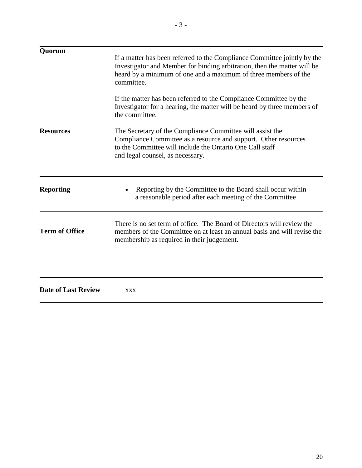| Ouorum                     | If a matter has been referred to the Compliance Committee jointly by the<br>Investigator and Member for binding arbitration, then the matter will be<br>heard by a minimum of one and a maximum of three members of the<br>committee. |
|----------------------------|---------------------------------------------------------------------------------------------------------------------------------------------------------------------------------------------------------------------------------------|
|                            | If the matter has been referred to the Compliance Committee by the<br>Investigator for a hearing, the matter will be heard by three members of<br>the committee.                                                                      |
| <b>Resources</b>           | The Secretary of the Compliance Committee will assist the<br>Compliance Committee as a resource and support. Other resources<br>to the Committee will include the Ontario One Call staff<br>and legal counsel, as necessary.          |
| <b>Reporting</b>           | Reporting by the Committee to the Board shall occur within<br>a reasonable period after each meeting of the Committee                                                                                                                 |
| <b>Term of Office</b>      | There is no set term of office. The Board of Directors will review the<br>members of the Committee on at least an annual basis and will revise the<br>membership as required in their judgement.                                      |
| <b>Date of Last Review</b> | <b>XXX</b>                                                                                                                                                                                                                            |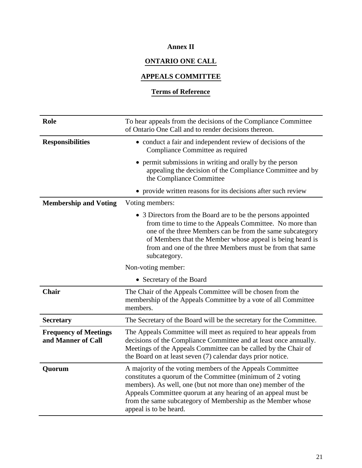# **Annex II**

# **ONTARIO ONE CALL**

# **APPEALS COMMITTEE**

# **Terms of Reference**

| Role                                               | To hear appeals from the decisions of the Compliance Committee<br>of Ontario One Call and to render decisions thereon.                                                                                                                                                                                                                           |
|----------------------------------------------------|--------------------------------------------------------------------------------------------------------------------------------------------------------------------------------------------------------------------------------------------------------------------------------------------------------------------------------------------------|
| <b>Responsibilities</b>                            | • conduct a fair and independent review of decisions of the<br>Compliance Committee as required                                                                                                                                                                                                                                                  |
|                                                    | • permit submissions in writing and orally by the person<br>appealing the decision of the Compliance Committee and by<br>the Compliance Committee                                                                                                                                                                                                |
|                                                    | • provide written reasons for its decisions after such review                                                                                                                                                                                                                                                                                    |
| <b>Membership and Voting</b>                       | Voting members:                                                                                                                                                                                                                                                                                                                                  |
|                                                    | • 3 Directors from the Board are to be the persons appointed<br>from time to time to the Appeals Committee. No more than<br>one of the three Members can be from the same subcategory<br>of Members that the Member whose appeal is being heard is<br>from and one of the three Members must be from that same<br>subcategory.                   |
|                                                    | Non-voting member:                                                                                                                                                                                                                                                                                                                               |
|                                                    | • Secretary of the Board                                                                                                                                                                                                                                                                                                                         |
| <b>Chair</b>                                       | The Chair of the Appeals Committee will be chosen from the<br>membership of the Appeals Committee by a vote of all Committee<br>members.                                                                                                                                                                                                         |
| <b>Secretary</b>                                   | The Secretary of the Board will be the secretary for the Committee.                                                                                                                                                                                                                                                                              |
| <b>Frequency of Meetings</b><br>and Manner of Call | The Appeals Committee will meet as required to hear appeals from<br>decisions of the Compliance Committee and at least once annually.<br>Meetings of the Appeals Committee can be called by the Chair of<br>the Board on at least seven (7) calendar days prior notice.                                                                          |
| Quorum                                             | A majority of the voting members of the Appeals Committee<br>constitutes a quorum of the Committee (minimum of 2 voting<br>members). As well, one (but not more than one) member of the<br>Appeals Committee quorum at any hearing of an appeal must be<br>from the same subcategory of Membership as the Member whose<br>appeal is to be heard. |